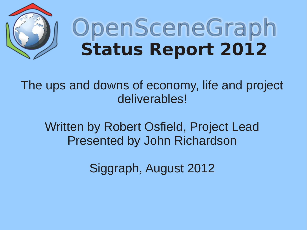

# OpenSceneGraph **Status Report 2012**

The ups and downs of economy, life and project deliverables!

Written by Robert Osfield, Project Lead Presented by John Richardson

Siggraph, August 2012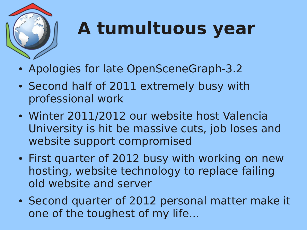

## **A tumultuous year**

- Apologies for late OpenSceneGraph-3.2
- Second half of 2011 extremely busy with professional work
- Winter 2011/2012 our website host Valencia University is hit be massive cuts, job loses and website support compromised
- First quarter of 2012 busy with working on new hosting, website technology to replace failing old website and server
- Second quarter of 2012 personal matter make it one of the toughest of my life...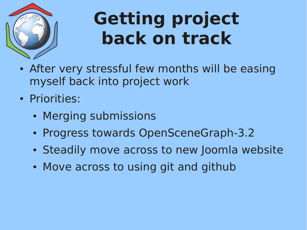

#### **Getting project back on track**

- After very stressful few months will be easing myself back into project work
- Priorities:
	- Merging submissions
	- Progress towards OpenSceneGraph-3.2
	- Steadily move across to new Joomla website
	- Move across to using git and github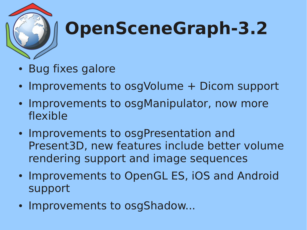

## **OpenSceneGraph-3.2**

- Bug fixes galore
- Improvements to osgVolume + Dicom support
- Improvements to osgManipulator, now more flexible
- Improvements to osgPresentation and Present3D, new features include better volume rendering support and image sequences
- Improvements to OpenGL ES, iOS and Android support
- Improvements to osgShadow...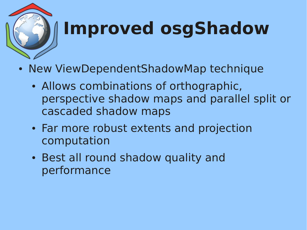

# **Improved osgShadow**

- New ViewDependentShadowMap technique
	- Allows combinations of orthographic, perspective shadow maps and parallel split or cascaded shadow maps
	- Far more robust extents and projection computation
	- Best all round shadow quality and performance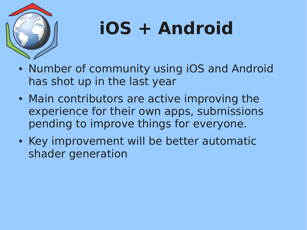

# **iOS + Android**

- Number of community using iOS and Android has shot up in the last year
- Main contributors are active improving the experience for their own apps, submissions pending to improve things for everyone.
- Key improvement will be better automatic shader generation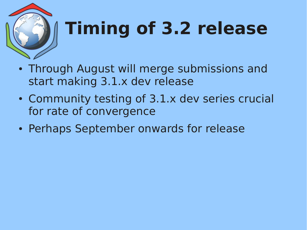

# **Timing of 3.2 release**

- Through August will merge submissions and start making 3.1.x dev release
- Community testing of 3.1.x dev series crucial for rate of convergence
- Perhaps September onwards for release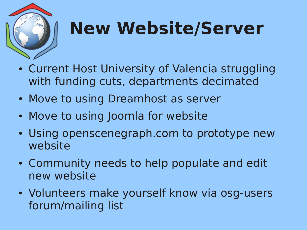

### **New Website/Server**

- Current Host University of Valencia struggling with funding cuts, departments decimated
- Move to using Dreamhost as server
- Move to using Joomla for website
- Using openscenegraph.com to prototype new website
- Community needs to help populate and edit new website
- Volunteers make yourself know via osg-users forum/mailing list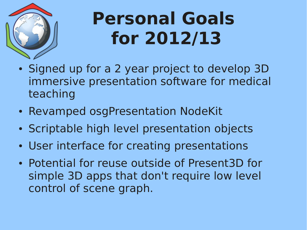

### **Personal Goals for 2012/13**

- Signed up for a 2 year project to develop 3D immersive presentation software for medical teaching
- Revamped osgPresentation NodeKit
- Scriptable high level presentation objects
- User interface for creating presentations
- Potential for reuse outside of Present3D for simple 3D apps that don't require low level control of scene graph.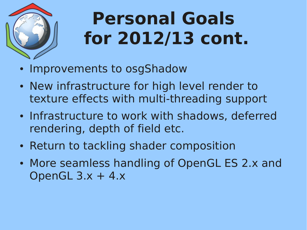

## **Personal Goals for 2012/13 cont.**

- Improvements to osgShadow
- New infrastructure for high level render to texture effects with multi-threading support
- Infrastructure to work with shadows, deferred rendering, depth of field etc.
- Return to tackling shader composition
- More seamless handling of OpenGL ES 2.x and OpenGL  $3.x + 4.x$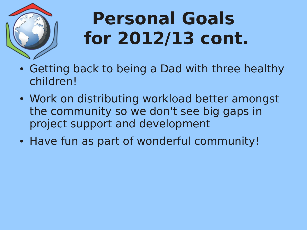

## **Personal Goals for 2012/13 cont.**

- Getting back to being a Dad with three healthy children!
- Work on distributing workload better amongst the community so we don't see big gaps in project support and development
- Have fun as part of wonderful community!